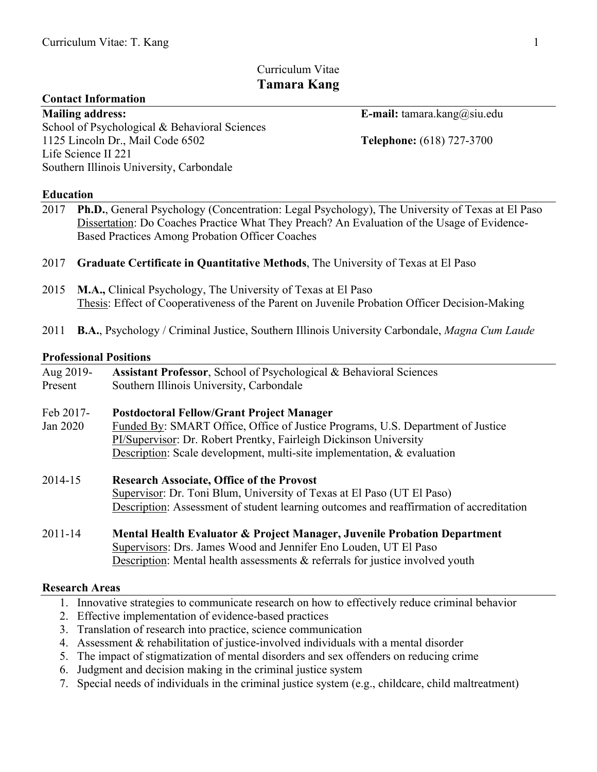# Curriculum Vitae **Tamara Kang**

### **Contact Information**

**Mailing address: E-mail:** tamara.kang@siu.edu School of Psychological & Behavioral Sciences 1125 Lincoln Dr., Mail Code 6502 **Telephone:** (618) 727-3700 Life Science II 221 Southern Illinois University, Carbondale

### **Education**

- 2017 **Ph.D.**, General Psychology (Concentration: Legal Psychology), The University of Texas at El Paso Dissertation: Do Coaches Practice What They Preach? An Evaluation of the Usage of Evidence-Based Practices Among Probation Officer Coaches
- 2017 **Graduate Certificate in Quantitative Methods**, The University of Texas at El Paso
- 2015 **M.A.,** Clinical Psychology, The University of Texas at El Paso Thesis: Effect of Cooperativeness of the Parent on Juvenile Probation Officer Decision-Making
- 2011 **B.A.**, Psychology / Criminal Justice, Southern Illinois University Carbondale, *Magna Cum Laude*

### **Professional Positions**

| Aug 2019-<br>Present | Assistant Professor, School of Psychological & Behavioral Sciences<br>Southern Illinois University, Carbondale                                                                                                                  |
|----------------------|---------------------------------------------------------------------------------------------------------------------------------------------------------------------------------------------------------------------------------|
| Feb 2017-            | <b>Postdoctoral Fellow/Grant Project Manager</b>                                                                                                                                                                                |
| Jan 2020             | Funded By: SMART Office, Office of Justice Programs, U.S. Department of Justice<br>PI/Supervisor: Dr. Robert Prentky, Fairleigh Dickinson University<br>Description: Scale development, multi-site implementation, & evaluation |
|                      |                                                                                                                                                                                                                                 |
| 2014-15              | <b>Research Associate, Office of the Provost</b><br>Supervisor: Dr. Toni Blum, University of Texas at El Paso (UT El Paso)<br>Description: Assessment of student learning outcomes and reaffirmation of accreditation           |
| 201111               | Montel Hoalth Expluston & Duoiset Monggon, Invenile Duchation Department                                                                                                                                                        |

2011-14 **Mental Health Evaluator & Project Manager, Juvenile Probation Department** Supervisors: Drs. James Wood and Jennifer Eno Louden, UT El Paso Description: Mental health assessments & referrals for justice involved youth

### **Research Areas**

- 1. Innovative strategies to communicate research on how to effectively reduce criminal behavior
- 2. Effective implementation of evidence-based practices
- 3. Translation of research into practice, science communication
- 4. Assessment & rehabilitation of justice-involved individuals with a mental disorder
- 5. The impact of stigmatization of mental disorders and sex offenders on reducing crime
- 6. Judgment and decision making in the criminal justice system
- 7. Special needs of individuals in the criminal justice system (e.g., childcare, child maltreatment)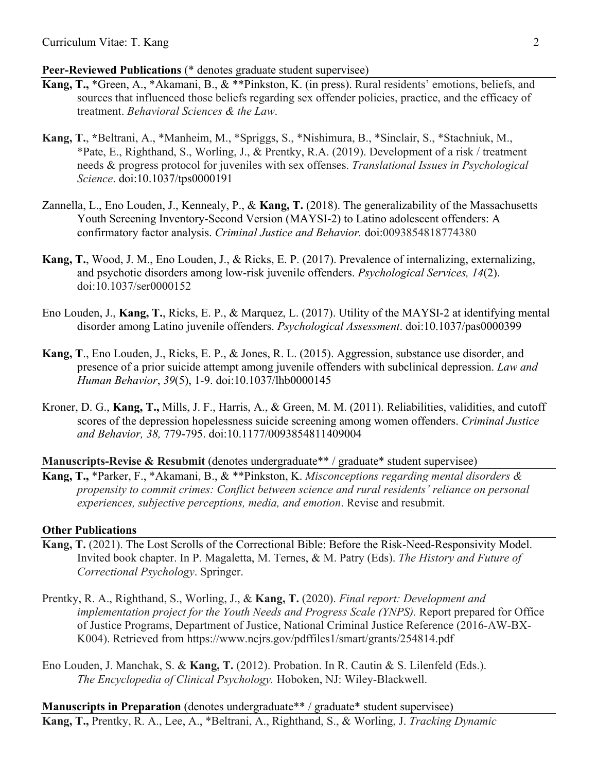### **Peer-Reviewed Publications** (\* denotes graduate student supervisee)

- **Kang, T.,** \*Green, A., \*Akamani, B., & \*\*Pinkston, K. (in press). Rural residents' emotions, beliefs, and sources that influenced those beliefs regarding sex offender policies, practice, and the efficacy of treatment. *Behavioral Sciences & the Law*.
- **Kang, T.**, **\***Beltrani, A., \*Manheim, M., \*Spriggs, S., \*Nishimura, B., \*Sinclair, S., \*Stachniuk, M., \*Pate, E., Righthand, S., Worling, J., & Prentky, R.A. (2019). Development of a risk / treatment needs & progress protocol for juveniles with sex offenses. *Translational Issues in Psychological Science*. doi:10.1037/tps0000191
- Zannella, L., Eno Louden, J., Kennealy, P., & **Kang, T.** (2018). The generalizability of the Massachusetts Youth Screening Inventory-Second Version (MAYSI-2) to Latino adolescent offenders: A confirmatory factor analysis. *Criminal Justice and Behavior.* doi:0093854818774380
- **Kang, T.**, Wood, J. M., Eno Louden, J., & Ricks, E. P. (2017). Prevalence of internalizing, externalizing, and psychotic disorders among low-risk juvenile offenders. *Psychological Services, 14*(2). doi:10.1037/ser0000152
- Eno Louden, J., **Kang, T.**, Ricks, E. P., & Marquez, L. (2017). Utility of the MAYSI-2 at identifying mental disorder among Latino juvenile offenders. *Psychological Assessment*. doi:10.1037/pas0000399
- **Kang, T**., Eno Louden, J., Ricks, E. P., & Jones, R. L. (2015). Aggression, substance use disorder, and presence of a prior suicide attempt among juvenile offenders with subclinical depression. *Law and Human Behavior*, *39*(5), 1-9. doi:10.1037/lhb0000145
- Kroner, D. G., **Kang, T.,** Mills, J. F., Harris, A., & Green, M. M. (2011). Reliabilities, validities, and cutoff scores of the depression hopelessness suicide screening among women offenders. *Criminal Justice and Behavior, 38,* 779-795. doi:10.1177/0093854811409004

## **Manuscripts-Revise & Resubmit** (denotes undergraduate\*\* / graduate\* student supervisee)

**Kang, T.,** \*Parker, F., \*Akamani, B., & \*\*Pinkston, K. *Misconceptions regarding mental disorders & propensity to commit crimes: Conflict between science and rural residents' reliance on personal experiences, subjective perceptions, media, and emotion*. Revise and resubmit.

## **Other Publications**

- **Kang, T.** (2021). The Lost Scrolls of the Correctional Bible: Before the Risk-Need-Responsivity Model. Invited book chapter. In P. Magaletta, M. Ternes, & M. Patry (Eds). *The History and Future of Correctional Psychology*. Springer.
- Prentky, R. A., Righthand, S., Worling, J., & **Kang, T.** (2020). *Final report: Development and implementation project for the Youth Needs and Progress Scale (YNPS).* Report prepared for Office of Justice Programs, Department of Justice, National Criminal Justice Reference (2016-AW-BX-K004). Retrieved from https://www.ncjrs.gov/pdffiles1/smart/grants/254814.pdf
- Eno Louden, J. Manchak, S. & **Kang, T.** (2012). Probation. In R. Cautin & S. Lilenfeld (Eds.). *The Encyclopedia of Clinical Psychology.* Hoboken, NJ: Wiley-Blackwell.

**Manuscripts in Preparation** (denotes undergraduate<sup>\*\*</sup> / graduate<sup>\*</sup> student supervisee) **Kang, T.,** Prentky, R. A., Lee, A., \*Beltrani, A., Righthand, S., & Worling, J. *Tracking Dynamic*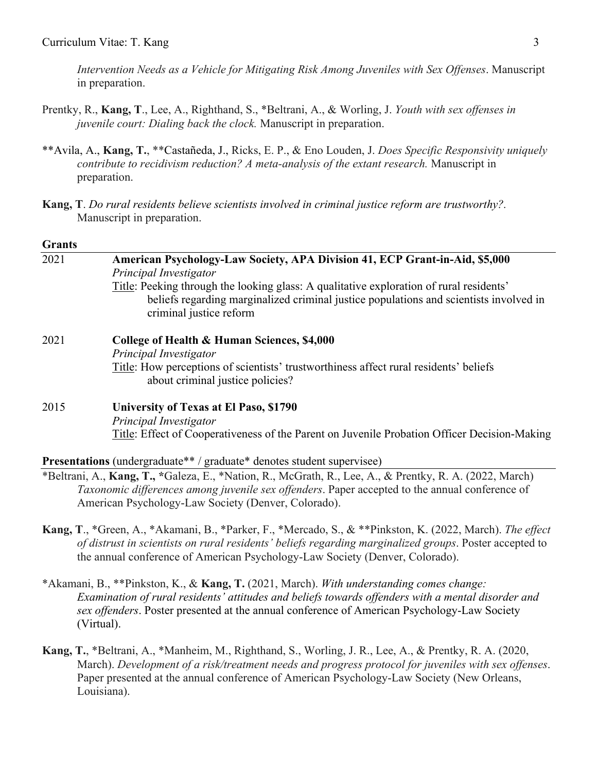*Intervention Needs as a Vehicle for Mitigating Risk Among Juveniles with Sex Offenses*. Manuscript in preparation.

- Prentky, R., **Kang, T**., Lee, A., Righthand, S., \*Beltrani, A., & Worling, J. *Youth with sex offenses in juvenile court: Dialing back the clock.* Manuscript in preparation.
- \*\*Avila, A., **Kang, T.**, \*\*Castañeda, J., Ricks, E. P., & Eno Louden, J. *Does Specific Responsivity uniquely contribute to recidivism reduction? A meta-analysis of the extant research.* Manuscript in preparation.
- **Kang, T**. *Do rural residents believe scientists involved in criminal justice reform are trustworthy?.* Manuscript in preparation.

#### **Grants**

| 2021 | American Psychology-Law Society, APA Division 41, ECP Grant-in-Aid, \$5,000<br>Principal Investigator                                                                                                        |  |  |  |
|------|--------------------------------------------------------------------------------------------------------------------------------------------------------------------------------------------------------------|--|--|--|
|      | Title: Peeking through the looking glass: A qualitative exploration of rural residents'<br>beliefs regarding marginalized criminal justice populations and scientists involved in<br>criminal justice reform |  |  |  |
| 2021 | College of Health & Human Sciences, \$4,000<br>Principal Investigator                                                                                                                                        |  |  |  |
|      | Title: How perceptions of scientists' trustworthiness affect rural residents' beliefs<br>about criminal justice policies?                                                                                    |  |  |  |
| 2015 | University of Texas at El Paso, \$1790                                                                                                                                                                       |  |  |  |
|      | Principal Investigator                                                                                                                                                                                       |  |  |  |
|      | <u>Title</u> : Effect of Cooperativeness of the Parent on Juvenile Probation Officer Decision-Making                                                                                                         |  |  |  |

**Presentations** (undergraduate\*\* / graduate\* denotes student supervisee)

- \*Beltrani, A., **Kang, T., \***Galeza, E., \*Nation, R., McGrath, R., Lee, A., & Prentky, R. A. (2022, March) *Taxonomic differences among juvenile sex offenders*. Paper accepted to the annual conference of American Psychology-Law Society (Denver, Colorado).
- **Kang, T**., \*Green, A., \*Akamani, B., \*Parker, F., \*Mercado, S., & \*\*Pinkston, K. (2022, March). *The effect of distrust in scientists on rural residents' beliefs regarding marginalized groups*. Poster accepted to the annual conference of American Psychology-Law Society (Denver, Colorado).
- \*Akamani, B., \*\*Pinkston, K., & **Kang, T.** (2021, March). *With understanding comes change: Examination of rural residents' attitudes and beliefs towards offenders with a mental disorder and sex offenders*. Poster presented at the annual conference of American Psychology-Law Society (Virtual).
- **Kang, T.**, \*Beltrani, A., \*Manheim, M., Righthand, S., Worling, J. R., Lee, A., & Prentky, R. A. (2020, March). *Development of a risk/treatment needs and progress protocol for juveniles with sex offenses*. Paper presented at the annual conference of American Psychology-Law Society (New Orleans, Louisiana).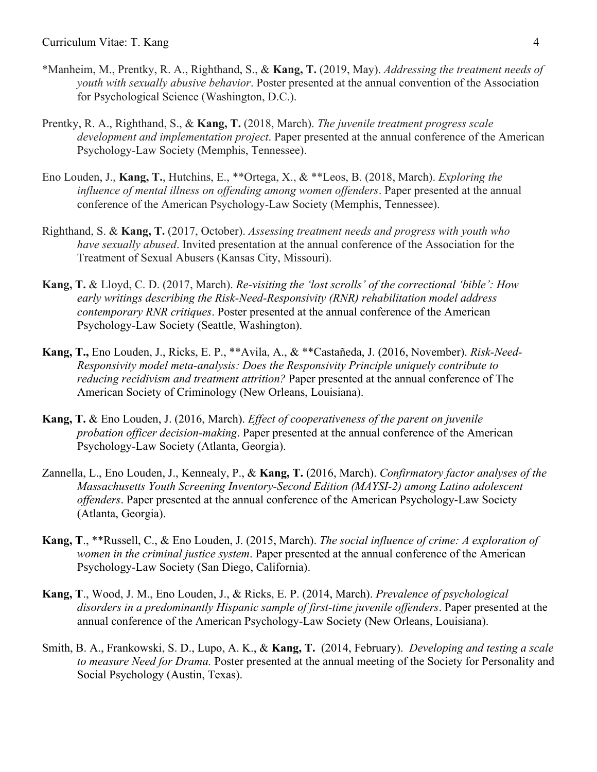#### Curriculum Vitae: T. Kang 4

- \*Manheim, M., Prentky, R. A., Righthand, S., & **Kang, T.** (2019, May). *Addressing the treatment needs of youth with sexually abusive behavior*. Poster presented at the annual convention of the Association for Psychological Science (Washington, D.C.).
- Prentky, R. A., Righthand, S., & **Kang, T.** (2018, March). *The juvenile treatment progress scale development and implementation project*. Paper presented at the annual conference of the American Psychology-Law Society (Memphis, Tennessee).
- Eno Louden, J., **Kang, T.**, Hutchins, E., \*\*Ortega, X., & \*\*Leos, B. (2018, March). *Exploring the influence of mental illness on offending among women offenders*. Paper presented at the annual conference of the American Psychology-Law Society (Memphis, Tennessee).
- Righthand, S. & **Kang, T.** (2017, October). *Assessing treatment needs and progress with youth who have sexually abused*. Invited presentation at the annual conference of the Association for the Treatment of Sexual Abusers (Kansas City, Missouri).
- **Kang, T.** & Lloyd, C. D. (2017, March). *Re-visiting the 'lost scrolls' of the correctional 'bible': How early writings describing the Risk-Need-Responsivity (RNR) rehabilitation model address contemporary RNR critiques*. Poster presented at the annual conference of the American Psychology-Law Society (Seattle, Washington).
- **Kang, T.,** Eno Louden, J., Ricks, E. P., \*\*Avila, A., & \*\*Castañeda, J. (2016, November). *Risk-Need-Responsivity model meta-analysis: Does the Responsivity Principle uniquely contribute to reducing recidivism and treatment attrition?* Paper presented at the annual conference of The American Society of Criminology (New Orleans, Louisiana).
- **Kang, T.** & Eno Louden, J. (2016, March). *Effect of cooperativeness of the parent on juvenile probation officer decision-making*. Paper presented at the annual conference of the American Psychology-Law Society (Atlanta, Georgia).
- Zannella, L., Eno Louden, J., Kennealy, P., & **Kang, T.** (2016, March). *Confirmatory factor analyses of the Massachusetts Youth Screening Inventory-Second Edition (MAYSI-2) among Latino adolescent offenders*. Paper presented at the annual conference of the American Psychology-Law Society (Atlanta, Georgia).
- **Kang, T**., \*\*Russell, C., & Eno Louden, J. (2015, March). *The social influence of crime: A exploration of women in the criminal justice system*. Paper presented at the annual conference of the American Psychology-Law Society (San Diego, California).
- **Kang, T**., Wood, J. M., Eno Louden, J., & Ricks, E. P. (2014, March). *Prevalence of psychological disorders in a predominantly Hispanic sample of first-time juvenile offenders*. Paper presented at the annual conference of the American Psychology-Law Society (New Orleans, Louisiana).
- Smith, B. A., Frankowski, S. D., Lupo, A. K., & **Kang, T.** (2014, February). *Developing and testing a scale to measure Need for Drama.* Poster presented at the annual meeting of the Society for Personality and Social Psychology (Austin, Texas).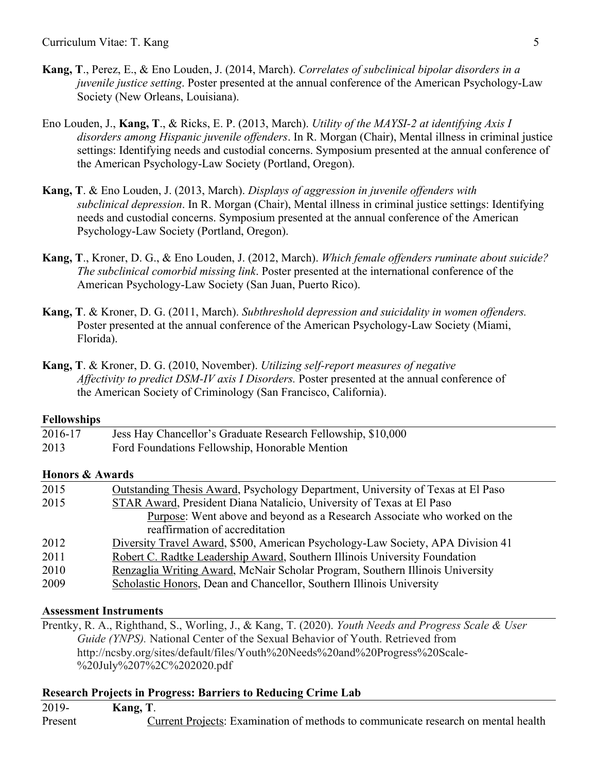- **Kang, T**., Perez, E., & Eno Louden, J. (2014, March). *Correlates of subclinical bipolar disorders in a juvenile justice setting*. Poster presented at the annual conference of the American Psychology-Law Society (New Orleans, Louisiana).
- Eno Louden, J., **Kang, T**., & Ricks, E. P. (2013, March). *Utility of the MAYSI-2 at identifying Axis I disorders among Hispanic juvenile offenders*. In R. Morgan (Chair), Mental illness in criminal justice settings: Identifying needs and custodial concerns. Symposium presented at the annual conference of the American Psychology-Law Society (Portland, Oregon).
- **Kang, T**. & Eno Louden, J. (2013, March). *Displays of aggression in juvenile offenders with subclinical depression*. In R. Morgan (Chair), Mental illness in criminal justice settings: Identifying needs and custodial concerns. Symposium presented at the annual conference of the American Psychology-Law Society (Portland, Oregon).
- **Kang, T**., Kroner, D. G., & Eno Louden, J. (2012, March). *Which female offenders ruminate about suicide? The subclinical comorbid missing link*. Poster presented at the international conference of the American Psychology-Law Society (San Juan, Puerto Rico).
- **Kang, T**. & Kroner, D. G. (2011, March). *Subthreshold depression and suicidality in women offenders.* Poster presented at the annual conference of the American Psychology-Law Society (Miami, Florida).
- **Kang, T**. & Kroner, D. G. (2010, November). *Utilizing self-report measures of negative Affectivity to predict DSM-IV axis I Disorders.* Poster presented at the annual conference of the American Society of Criminology (San Francisco, California).

# **Fellowships**

| 2016-17 | Jess Hay Chancellor's Graduate Research Fellowship, \$10,000 |
|---------|--------------------------------------------------------------|
| 2013    | Ford Foundations Fellowship, Honorable Mention               |

# **Honors & Awards**

| 2015 | Outstanding Thesis Award, Psychology Department, University of Texas at El Paso |
|------|---------------------------------------------------------------------------------|
| 2015 | STAR Award, President Diana Natalicio, University of Texas at El Paso           |
|      | Purpose: Went above and beyond as a Research Associate who worked on the        |
|      | reaffirmation of accreditation                                                  |
| 2012 | Diversity Travel Award, \$500, American Psychology-Law Society, APA Division 41 |
| 2011 | Robert C. Radtke Leadership Award, Southern Illinois University Foundation      |
| 2010 | Renzaglia Writing Award, McNair Scholar Program, Southern Illinois University   |
| 2009 | Scholastic Honors, Dean and Chancellor, Southern Illinois University            |
|      |                                                                                 |

## **Assessment Instruments**

Prentky, R. A., Righthand, S., Worling, J., & Kang, T. (2020). *Youth Needs and Progress Scale & User Guide (YNPS).* National Center of the Sexual Behavior of Youth. Retrieved from http://ncsby.org/sites/default/files/Youth%20Needs%20and%20Progress%20Scale- %20July%207%2C%202020.pdf

## **Research Projects in Progress: Barriers to Reducing Crime Lab**

| 2019-   | Kang, T. |                                                                                   |
|---------|----------|-----------------------------------------------------------------------------------|
| Present |          | Current Projects: Examination of methods to communicate research on mental health |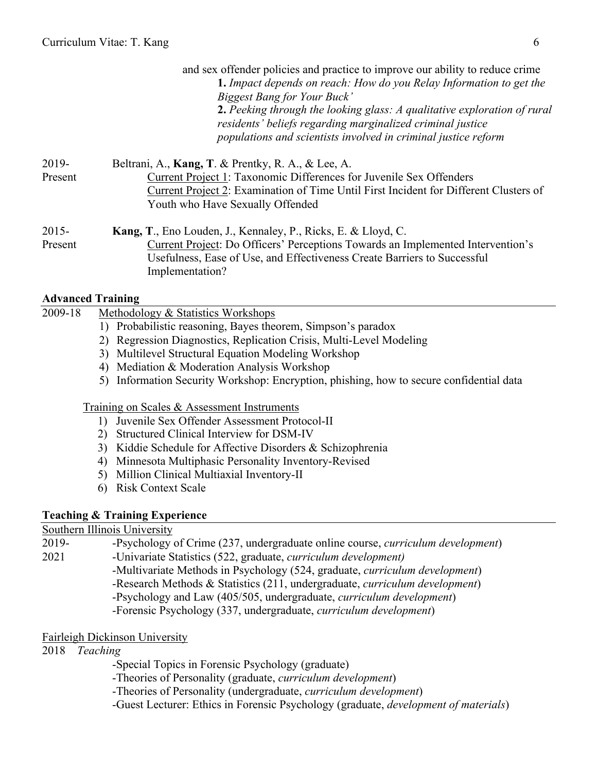|                     | and sex offender policies and practice to improve our ability to reduce crime<br>1. Impact depends on reach: How do you Relay Information to get the<br>Biggest Bang for Your Buck'<br>2. Peeking through the looking glass: A qualitative exploration of rural<br>residents' beliefs regarding marginalized criminal justice<br>populations and scientists involved in criminal justice reform |
|---------------------|-------------------------------------------------------------------------------------------------------------------------------------------------------------------------------------------------------------------------------------------------------------------------------------------------------------------------------------------------------------------------------------------------|
| 2019-<br>Present    | Beltrani, A., Kang, T. & Prentky, R. A., & Lee, A.<br>Current Project 1: Taxonomic Differences for Juvenile Sex Offenders<br>Current Project 2: Examination of Time Until First Incident for Different Clusters of<br>Youth who Have Sexually Offended                                                                                                                                          |
| $2015 -$<br>Present | Kang, T., Eno Louden, J., Kennaley, P., Ricks, E. & Lloyd, C.<br><b>Current Project: Do Officers' Perceptions Towards an Implemented Intervention's</b><br>Usefulness, Ease of Use, and Effectiveness Create Barriers to Successful<br>Implementation?                                                                                                                                          |

# **Advanced Training**

| 2009-18 | Methodology & Statistics Workshops                                                      |
|---------|-----------------------------------------------------------------------------------------|
|         | Probabilistic reasoning, Bayes theorem, Simpson's paradox<br>$\mathbf{D}$               |
|         | 2) Regression Diagnostics, Replication Crisis, Multi-Level Modeling                     |
|         | 3) Multilevel Structural Equation Modeling Workshop                                     |
|         | 4) Mediation & Moderation Analysis Workshop                                             |
|         | 5) Information Security Workshop: Encryption, phishing, how to secure confidential data |
|         |                                                                                         |
|         | Training on Scales & Assessment Instruments                                             |
|         | Juvenile Sex Offender Assessment Protocol-II<br>$\mathbf{I}$                            |
|         | Structured Clinical Interview for DSM-IV<br>2)                                          |
|         | Kiddie Schedule for Affective Disorders & Schizophrenia<br>3)                           |
|         | Minnesota Multiphasic Personality Inventory-Revised<br>4)                               |
|         | Million Clinical Multiaxial Inventory-II                                                |
|         | <b>Risk Context Scale</b>                                                               |
|         |                                                                                         |

# **Teaching & Training Experience**

Southern Illinois University

| -Psychology of Crime (237, undergraduate online course, <i>curriculum development</i> ) |
|-----------------------------------------------------------------------------------------|
| -Univariate Statistics (522, graduate, <i>curriculum development</i> )                  |
| -Multivariate Methods in Psychology (524, graduate, <i>curriculum development</i> )     |
| -Research Methods & Statistics (211, undergraduate, <i>curriculum development</i> )     |
| -Psychology and Law (405/505, undergraduate, <i>curriculum development</i> )            |
| -Forensic Psychology (337, undergraduate, <i>curriculum development</i> )               |
|                                                                                         |

# Fairleigh Dickinson University

2018 *Teaching* 

-Special Topics in Forensic Psychology (graduate)

-Theories of Personality (graduate, *curriculum development*)

-Theories of Personality (undergraduate, *curriculum development*)

-Guest Lecturer: Ethics in Forensic Psychology (graduate, *development of materials*)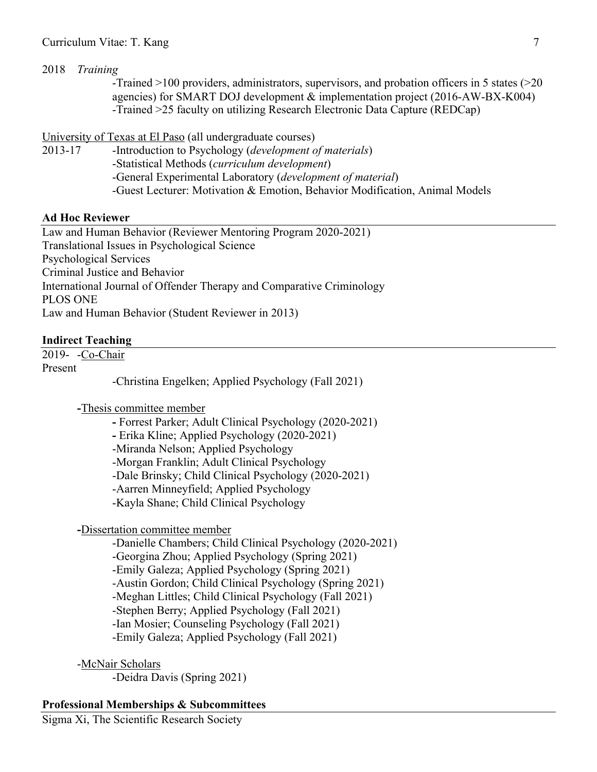### Curriculum Vitae: T. Kang 7

### 2018 *Training*

-Trained >100 providers, administrators, supervisors, and probation officers in 5 states (>20 agencies) for SMART DOJ development & implementation project (2016-AW-BX-K004) -Trained >25 faculty on utilizing Research Electronic Data Capture (REDCap)

University of Texas at El Paso (all undergraduate courses)

2013-17 -Introduction to Psychology (*development of materials*) -Statistical Methods (*curriculum development*) -General Experimental Laboratory (*development of material*) -Guest Lecturer: Motivation & Emotion, Behavior Modification, Animal Models

### **Ad Hoc Reviewer**

Law and Human Behavior (Reviewer Mentoring Program 2020-2021) Translational Issues in Psychological Science Psychological Services Criminal Justice and Behavior International Journal of Offender Therapy and Comparative Criminology PLOS ONE Law and Human Behavior (Student Reviewer in 2013)

### **Indirect Teaching**

2019- -Co-Chair

Present

-Christina Engelken; Applied Psychology (Fall 2021)

**-**Thesis committee member

**-** Forrest Parker; Adult Clinical Psychology (2020-2021)

**-** Erika Kline; Applied Psychology (2020-2021)

-Miranda Nelson; Applied Psychology

-Morgan Franklin; Adult Clinical Psychology

-Dale Brinsky; Child Clinical Psychology (2020-2021)

-Aarren Minneyfield; Applied Psychology

-Kayla Shane; Child Clinical Psychology

**-**Dissertation committee member

-Danielle Chambers; Child Clinical Psychology (2020-2021) -Georgina Zhou; Applied Psychology (Spring 2021) -Emily Galeza; Applied Psychology (Spring 2021) -Austin Gordon; Child Clinical Psychology (Spring 2021) -Meghan Littles; Child Clinical Psychology (Fall 2021) -Stephen Berry; Applied Psychology (Fall 2021) -Ian Mosier; Counseling Psychology (Fall 2021) -Emily Galeza; Applied Psychology (Fall 2021)

-McNair Scholars

-Deidra Davis (Spring 2021)

### **Professional Memberships & Subcommittees**